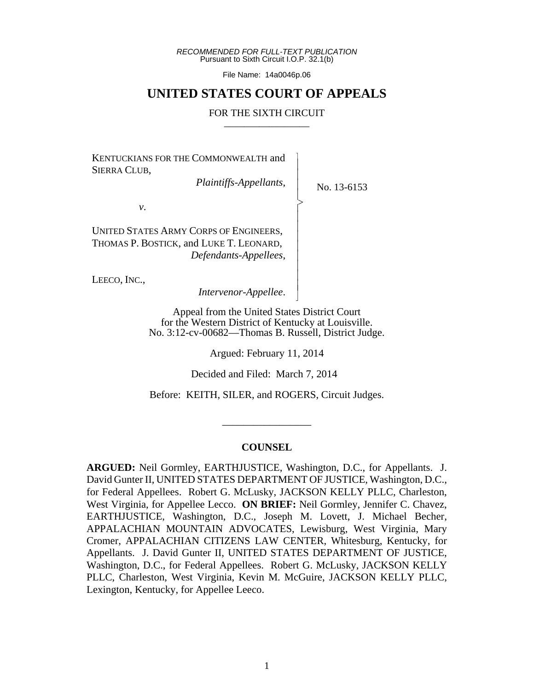*RECOMMENDED FOR FULL-TEXT PUBLICATION* Pursuant to Sixth Circuit I.O.P. 32.1(b)

File Name: 14a0046p.06

## **UNITED STATES COURT OF APPEALS**

## FOR THE SIXTH CIRCUIT

 $\overline{\phantom{a}}$ - - - > , - - - - - - - - N

KENTUCKIANS FOR THE COMMONWEALTH and SIERRA CLUB,

*Plaintiffs-Appellants*,

No. 13-6153

*v*.

UNITED STATES ARMY CORPS OF ENGINEERS, THOMAS P. BOSTICK, and LUKE T. LEONARD, *Defendants-Appellees*,

LEECO, INC.,

*Intervenor-Appellee*.

Appeal from the United States District Court for the Western District of Kentucky at Louisville. No. 3:12-cv-00682—Thomas B. Russell, District Judge.

Argued: February 11, 2014

Decided and Filed: March 7, 2014

Before: KEITH, SILER, and ROGERS, Circuit Judges.

\_\_\_\_\_\_\_\_\_\_\_\_\_\_\_\_\_

## **COUNSEL**

**ARGUED:** Neil Gormley, EARTHJUSTICE, Washington, D.C., for Appellants. J. David Gunter II, UNITED STATES DEPARTMENT OF JUSTICE, Washington, D.C., for Federal Appellees. Robert G. McLusky, JACKSON KELLY PLLC, Charleston, West Virginia, for Appellee Lecco. **ON BRIEF:** Neil Gormley, Jennifer C. Chavez, EARTHJUSTICE, Washington, D.C., Joseph M. Lovett, J. Michael Becher, APPALACHIAN MOUNTAIN ADVOCATES, Lewisburg, West Virginia, Mary Cromer, APPALACHIAN CITIZENS LAW CENTER, Whitesburg, Kentucky, for Appellants. J. David Gunter II, UNITED STATES DEPARTMENT OF JUSTICE, Washington, D.C., for Federal Appellees. Robert G. McLusky, JACKSON KELLY PLLC, Charleston, West Virginia, Kevin M. McGuire, JACKSON KELLY PLLC, Lexington, Kentucky, for Appellee Leeco.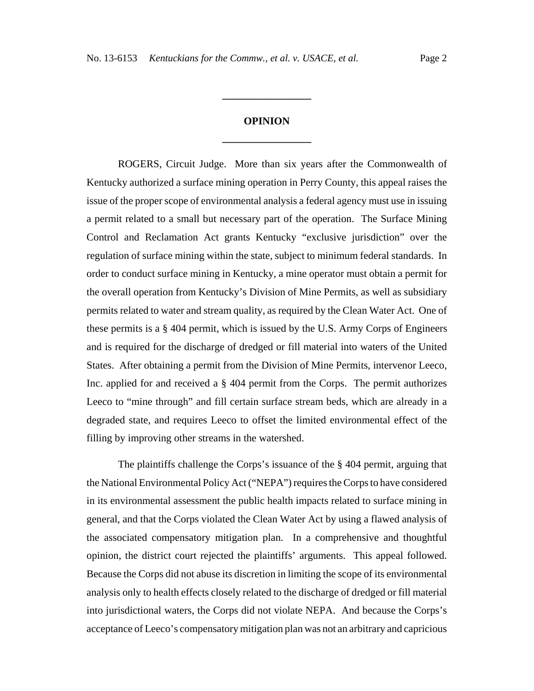## **OPINION \_\_\_\_\_\_\_\_\_\_\_\_\_\_\_\_\_**

**\_\_\_\_\_\_\_\_\_\_\_\_\_\_\_\_\_**

ROGERS, Circuit Judge. More than six years after the Commonwealth of Kentucky authorized a surface mining operation in Perry County, this appeal raises the issue of the proper scope of environmental analysis a federal agency must use in issuing a permit related to a small but necessary part of the operation. The Surface Mining Control and Reclamation Act grants Kentucky "exclusive jurisdiction" over the regulation of surface mining within the state, subject to minimum federal standards. In order to conduct surface mining in Kentucky, a mine operator must obtain a permit for the overall operation from Kentucky's Division of Mine Permits, as well as subsidiary permits related to water and stream quality, as required by the Clean Water Act. One of these permits is a § 404 permit, which is issued by the U.S. Army Corps of Engineers and is required for the discharge of dredged or fill material into waters of the United States. After obtaining a permit from the Division of Mine Permits, intervenor Leeco, Inc. applied for and received a § 404 permit from the Corps. The permit authorizes Leeco to "mine through" and fill certain surface stream beds, which are already in a degraded state, and requires Leeco to offset the limited environmental effect of the filling by improving other streams in the watershed.

The plaintiffs challenge the Corps's issuance of the § 404 permit, arguing that the National Environmental Policy Act ("NEPA") requires the Corps to have considered in its environmental assessment the public health impacts related to surface mining in general, and that the Corps violated the Clean Water Act by using a flawed analysis of the associated compensatory mitigation plan. In a comprehensive and thoughtful opinion, the district court rejected the plaintiffs' arguments. This appeal followed. Because the Corps did not abuse its discretion in limiting the scope of its environmental analysis only to health effects closely related to the discharge of dredged or fill material into jurisdictional waters, the Corps did not violate NEPA. And because the Corps's acceptance of Leeco's compensatory mitigation plan was not an arbitrary and capricious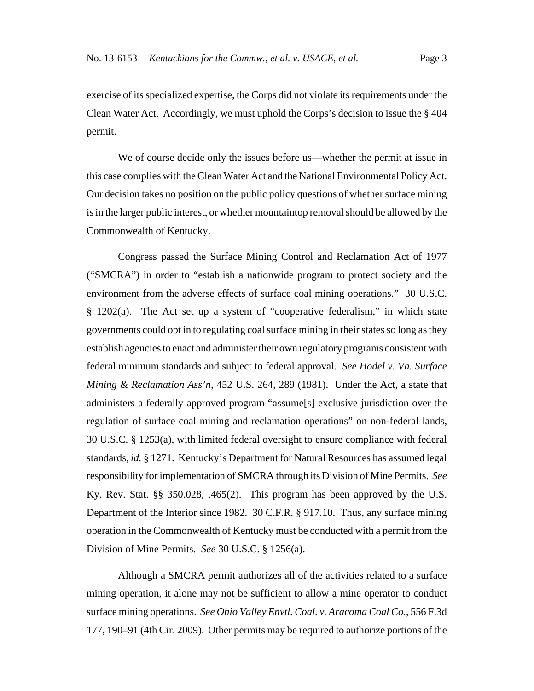exercise of its specialized expertise, the Corps did not violate its requirements under the Clean Water Act. Accordingly, we must uphold the Corps's decision to issue the § 404 permit.

We of course decide only the issues before us—whether the permit at issue in this case complies with the Clean Water Act and the National Environmental Policy Act. Our decision takes no position on the public policy questions of whether surface mining is in the larger public interest, or whether mountaintop removal should be allowed by the Commonwealth of Kentucky.

Congress passed the Surface Mining Control and Reclamation Act of 1977 ("SMCRA") in order to "establish a nationwide program to protect society and the environment from the adverse effects of surface coal mining operations." 30 U.S.C. § 1202(a). The Act set up a system of "cooperative federalism," in which state governments could opt in to regulating coal surface mining in their states so long as they establish agencies to enact and administer their own regulatory programs consistent with federal minimum standards and subject to federal approval. *See Hodel v. Va. Surface Mining & Reclamation Ass'n*, 452 U.S. 264, 289 (1981). Under the Act, a state that administers a federally approved program "assume[s] exclusive jurisdiction over the regulation of surface coal mining and reclamation operations" on non-federal lands, 30 U.S.C. § 1253(a), with limited federal oversight to ensure compliance with federal standards, *id.* § 1271. Kentucky's Department for Natural Resources has assumed legal responsibility for implementation of SMCRA through its Division of Mine Permits. *See* Ky. Rev. Stat. §§ 350.028, .465(2). This program has been approved by the U.S. Department of the Interior since 1982. 30 C.F.R. § 917.10. Thus, any surface mining operation in the Commonwealth of Kentucky must be conducted with a permit from the Division of Mine Permits. *See* 30 U.S.C. § 1256(a).

Although a SMCRA permit authorizes all of the activities related to a surface mining operation, it alone may not be sufficient to allow a mine operator to conduct surface mining operations. *See Ohio Valley Envtl. Coal. v. Aracoma Coal Co.*, 556 F.3d 177, 190–91 (4th Cir. 2009). Other permits may be required to authorize portions of the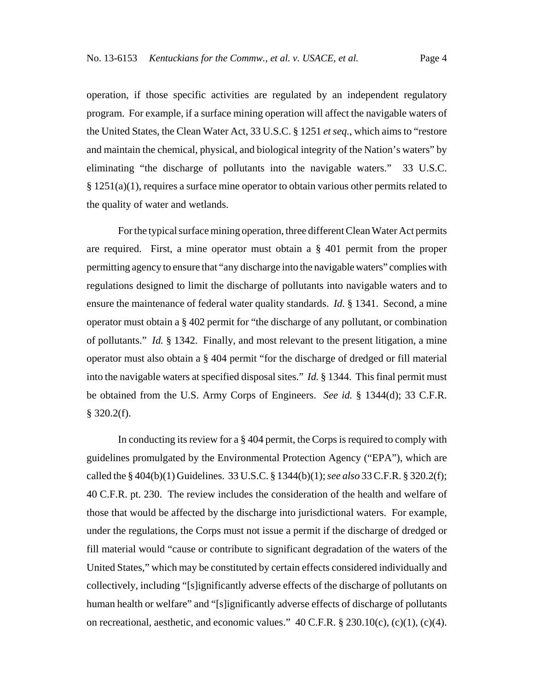operation, if those specific activities are regulated by an independent regulatory program. For example, if a surface mining operation will affect the navigable waters of the United States, the Clean Water Act, 33 U.S.C. § 1251 *et seq.*, which aims to "restore and maintain the chemical, physical, and biological integrity of the Nation's waters" by eliminating "the discharge of pollutants into the navigable waters." 33 U.S.C. § 1251(a)(1), requires a surface mine operator to obtain various other permits related to the quality of water and wetlands.

For the typical surface mining operation, three different Clean Water Act permits are required. First, a mine operator must obtain a § 401 permit from the proper permitting agency to ensure that "any discharge into the navigable waters" complies with regulations designed to limit the discharge of pollutants into navigable waters and to ensure the maintenance of federal water quality standards. *Id.* § 1341. Second, a mine operator must obtain a § 402 permit for "the discharge of any pollutant, or combination of pollutants." *Id.* § 1342. Finally, and most relevant to the present litigation, a mine operator must also obtain a § 404 permit "for the discharge of dredged or fill material into the navigable waters at specified disposal sites." *Id.* § 1344. This final permit must be obtained from the U.S. Army Corps of Engineers. *See id.* § 1344(d); 33 C.F.R.  $$320.2(f).$ 

In conducting its review for a § 404 permit, the Corps is required to comply with guidelines promulgated by the Environmental Protection Agency ("EPA"), which are called the § 404(b)(1) Guidelines. 33 U.S.C. § 1344(b)(1); *see also* 33 C.F.R. § 320.2(f); 40 C.F.R. pt. 230. The review includes the consideration of the health and welfare of those that would be affected by the discharge into jurisdictional waters. For example, under the regulations, the Corps must not issue a permit if the discharge of dredged or fill material would "cause or contribute to significant degradation of the waters of the United States," which may be constituted by certain effects considered individually and collectively, including "[s]ignificantly adverse effects of the discharge of pollutants on human health or welfare" and "[s]ignificantly adverse effects of discharge of pollutants on recreational, aesthetic, and economic values."  $40$  C.F.R.  $\S$  230.10(c), (c)(1), (c)(4).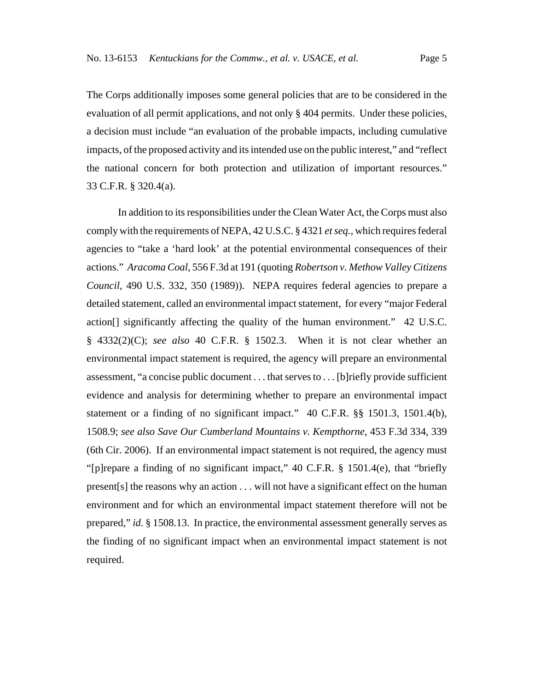The Corps additionally imposes some general policies that are to be considered in the evaluation of all permit applications, and not only § 404 permits. Under these policies, a decision must include "an evaluation of the probable impacts, including cumulative impacts, of the proposed activity and its intended use on the public interest," and "reflect the national concern for both protection and utilization of important resources." 33 C.F.R. § 320.4(a).

In addition to its responsibilities under the Clean Water Act, the Corps must also comply with the requirements of NEPA, 42 U.S.C. § 4321 *et seq.*, which requires federal agencies to "take a 'hard look' at the potential environmental consequences of their actions." *Aracoma Coal*, 556 F.3d at 191 (quoting *Robertson v. Methow Valley Citizens Council*, 490 U.S. 332, 350 (1989)). NEPA requires federal agencies to prepare a detailed statement, called an environmental impact statement, for every "major Federal action[] significantly affecting the quality of the human environment." 42 U.S.C. § 4332(2)(C); *see also* 40 C.F.R. § 1502.3. When it is not clear whether an environmental impact statement is required, the agency will prepare an environmental assessment, "a concise public document . . . that serves to . . . [b]riefly provide sufficient evidence and analysis for determining whether to prepare an environmental impact statement or a finding of no significant impact." 40 C.F.R. §§ 1501.3, 1501.4(b), 1508.9; *see also Save Our Cumberland Mountains v. Kempthorne*, 453 F.3d 334, 339 (6th Cir. 2006). If an environmental impact statement is not required, the agency must "[p]repare a finding of no significant impact," 40 C.F.R. § 1501.4(e), that "briefly present[s] the reasons why an action . . . will not have a significant effect on the human environment and for which an environmental impact statement therefore will not be prepared," *id.* § 1508.13. In practice, the environmental assessment generally serves as the finding of no significant impact when an environmental impact statement is not required.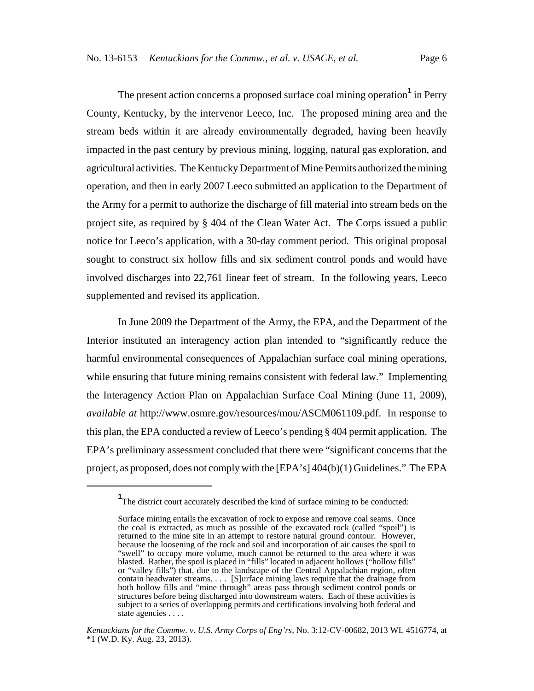The present action concerns a proposed surface coal mining operation**<sup>1</sup>** in Perry County, Kentucky, by the intervenor Leeco, Inc. The proposed mining area and the stream beds within it are already environmentally degraded, having been heavily impacted in the past century by previous mining, logging, natural gas exploration, and agricultural activities. The Kentucky Department of Mine Permits authorized the mining operation, and then in early 2007 Leeco submitted an application to the Department of the Army for a permit to authorize the discharge of fill material into stream beds on the project site, as required by § 404 of the Clean Water Act. The Corps issued a public notice for Leeco's application, with a 30-day comment period. This original proposal sought to construct six hollow fills and six sediment control ponds and would have involved discharges into 22,761 linear feet of stream. In the following years, Leeco supplemented and revised its application.

In June 2009 the Department of the Army, the EPA, and the Department of the Interior instituted an interagency action plan intended to "significantly reduce the harmful environmental consequences of Appalachian surface coal mining operations, while ensuring that future mining remains consistent with federal law." Implementing the Interagency Action Plan on Appalachian Surface Coal Mining (June 11, 2009), *available at* http://www.osmre.gov/resources/mou/ASCM061109.pdf. In response to this plan, the EPA conducted a review of Leeco's pending § 404 permit application. The EPA's preliminary assessment concluded that there were "significant concerns that the project, as proposed, does not comply with the [EPA's] 404(b)(1) Guidelines." The EPA

<sup>&</sup>lt;sup>1</sup>The district court accurately described the kind of surface mining to be conducted:

Surface mining entails the excavation of rock to expose and remove coal seams. Once the coal is extracted, as much as possible of the excavated rock (called "spoil") is returned to the mine site in an attempt to restore natural ground contour. However, because the loosening of the rock and soil and incorporation of air causes the spoil to "swell" to occupy more volume, much cannot be returned to the area where it was blasted. Rather, the spoil is placed in "fills" located in adjacent hollows ("hollow fills" or "valley fills") that, due to the landscape of the Central Appalachian region, often contain headwater streams. . . . [S]urface mining laws require that the drainage from both hollow fills and "mine through" areas pass through sediment control ponds or structures before being discharged into downstream waters. Each of these activities is subject to a series of overlapping permits and certifications involving both federal and state agencies . . . .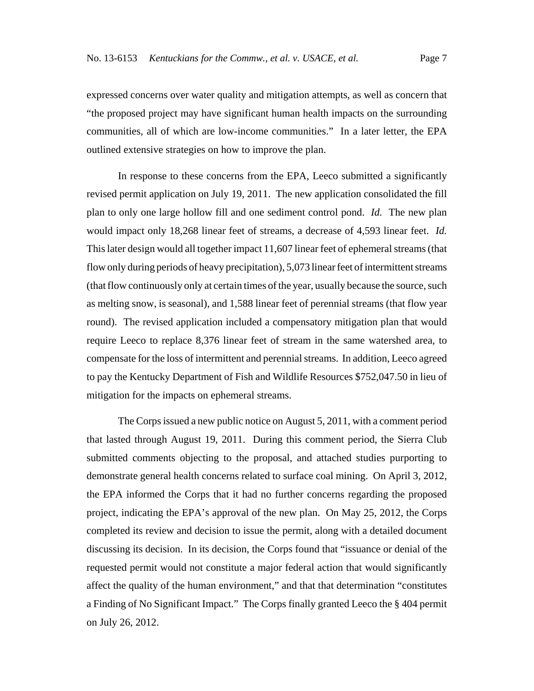expressed concerns over water quality and mitigation attempts, as well as concern that "the proposed project may have significant human health impacts on the surrounding communities, all of which are low-income communities." In a later letter, the EPA outlined extensive strategies on how to improve the plan.

In response to these concerns from the EPA, Leeco submitted a significantly revised permit application on July 19, 2011. The new application consolidated the fill plan to only one large hollow fill and one sediment control pond. *Id.* The new plan would impact only 18,268 linear feet of streams, a decrease of 4,593 linear feet. *Id.* This later design would all together impact 11,607 linear feet of ephemeral streams (that flow only during periods of heavy precipitation), 5,073 linear feet of intermittent streams (that flow continuously only at certain times of the year, usually because the source, such as melting snow, is seasonal), and 1,588 linear feet of perennial streams (that flow year round). The revised application included a compensatory mitigation plan that would require Leeco to replace 8,376 linear feet of stream in the same watershed area, to compensate for the loss of intermittent and perennial streams. In addition, Leeco agreed to pay the Kentucky Department of Fish and Wildlife Resources \$752,047.50 in lieu of mitigation for the impacts on ephemeral streams.

The Corps issued a new public notice on August 5, 2011, with a comment period that lasted through August 19, 2011. During this comment period, the Sierra Club submitted comments objecting to the proposal, and attached studies purporting to demonstrate general health concerns related to surface coal mining. On April 3, 2012, the EPA informed the Corps that it had no further concerns regarding the proposed project, indicating the EPA's approval of the new plan. On May 25, 2012, the Corps completed its review and decision to issue the permit, along with a detailed document discussing its decision. In its decision, the Corps found that "issuance or denial of the requested permit would not constitute a major federal action that would significantly affect the quality of the human environment," and that that determination "constitutes a Finding of No Significant Impact." The Corps finally granted Leeco the § 404 permit on July 26, 2012.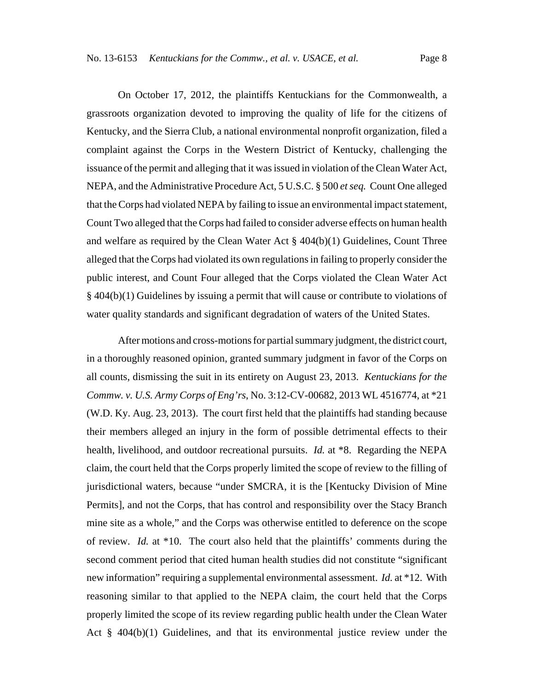On October 17, 2012, the plaintiffs Kentuckians for the Commonwealth, a grassroots organization devoted to improving the quality of life for the citizens of Kentucky, and the Sierra Club, a national environmental nonprofit organization, filed a complaint against the Corps in the Western District of Kentucky, challenging the issuance of the permit and alleging that it was issued in violation of the Clean Water Act, NEPA, and the Administrative Procedure Act, 5 U.S.C. § 500 *et seq.* Count One alleged that the Corps had violated NEPA by failing to issue an environmental impact statement, Count Two alleged that the Corps had failed to consider adverse effects on human health and welfare as required by the Clean Water Act § 404(b)(1) Guidelines, Count Three alleged that the Corps had violated its own regulations in failing to properly consider the public interest, and Count Four alleged that the Corps violated the Clean Water Act § 404(b)(1) Guidelines by issuing a permit that will cause or contribute to violations of water quality standards and significant degradation of waters of the United States.

After motions and cross-motions for partial summary judgment, the district court, in a thoroughly reasoned opinion, granted summary judgment in favor of the Corps on all counts, dismissing the suit in its entirety on August 23, 2013. *Kentuckians for the Commw. v. U.S. Army Corps of Eng'rs*, No. 3:12-CV-00682, 2013 WL 4516774, at \*21 (W.D. Ky. Aug. 23, 2013). The court first held that the plaintiffs had standing because their members alleged an injury in the form of possible detrimental effects to their health, livelihood, and outdoor recreational pursuits. *Id.* at \*8. Regarding the NEPA claim, the court held that the Corps properly limited the scope of review to the filling of jurisdictional waters, because "under SMCRA, it is the [Kentucky Division of Mine Permits], and not the Corps, that has control and responsibility over the Stacy Branch mine site as a whole," and the Corps was otherwise entitled to deference on the scope of review. *Id.* at \*10. The court also held that the plaintiffs' comments during the second comment period that cited human health studies did not constitute "significant new information" requiring a supplemental environmental assessment. *Id.* at \*12. With reasoning similar to that applied to the NEPA claim, the court held that the Corps properly limited the scope of its review regarding public health under the Clean Water Act § 404(b)(1) Guidelines, and that its environmental justice review under the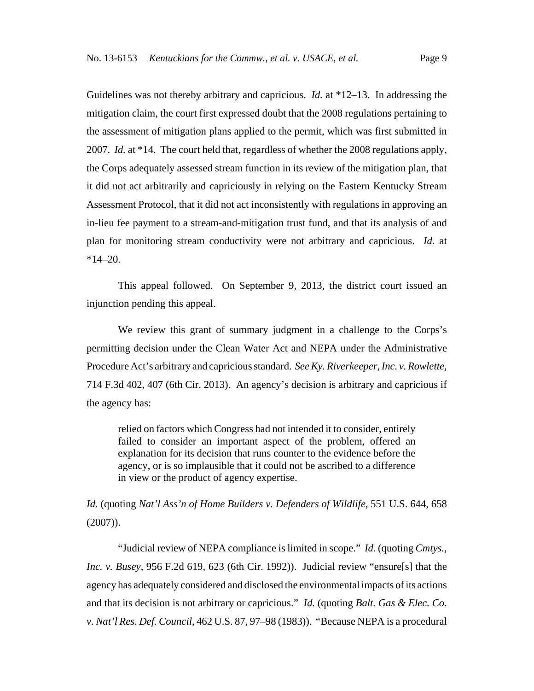Guidelines was not thereby arbitrary and capricious. *Id.* at \*12–13. In addressing the mitigation claim, the court first expressed doubt that the 2008 regulations pertaining to the assessment of mitigation plans applied to the permit, which was first submitted in 2007. *Id.* at \*14. The court held that, regardless of whether the 2008 regulations apply, the Corps adequately assessed stream function in its review of the mitigation plan, that it did not act arbitrarily and capriciously in relying on the Eastern Kentucky Stream Assessment Protocol, that it did not act inconsistently with regulations in approving an in-lieu fee payment to a stream-and-mitigation trust fund, and that its analysis of and plan for monitoring stream conductivity were not arbitrary and capricious. *Id.* at  $*14-20.$ 

This appeal followed. On September 9, 2013, the district court issued an injunction pending this appeal.

We review this grant of summary judgment in a challenge to the Corps's permitting decision under the Clean Water Act and NEPA under the Administrative Procedure Act's arbitrary and capricious standard. *See Ky. Riverkeeper, Inc. v. Rowlette*, 714 F.3d 402, 407 (6th Cir. 2013). An agency's decision is arbitrary and capricious if the agency has:

relied on factors which Congress had not intended it to consider, entirely failed to consider an important aspect of the problem, offered an explanation for its decision that runs counter to the evidence before the agency, or is so implausible that it could not be ascribed to a difference in view or the product of agency expertise.

*Id.* (quoting *Nat'l Ass'n of Home Builders v. Defenders of Wildlife*, 551 U.S. 644, 658  $(2007)$ ).

"Judicial review of NEPA compliance is limited in scope." *Id.* (quoting *Cmtys., Inc. v. Busey*, 956 F.2d 619, 623 (6th Cir. 1992)). Judicial review "ensure[s] that the agency has adequately considered and disclosed the environmental impacts of its actions and that its decision is not arbitrary or capricious." *Id.* (quoting *Balt. Gas & Elec. Co. v. Nat'l Res. Def. Council*, 462 U.S. 87, 97–98 (1983)). "Because NEPA is a procedural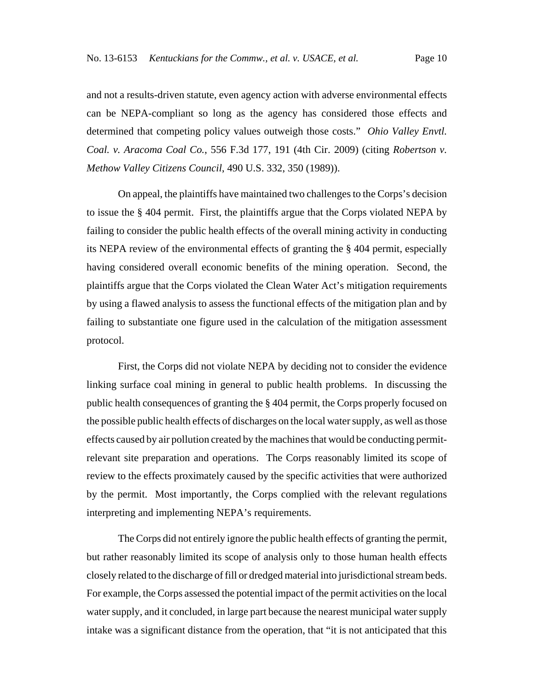and not a results-driven statute, even agency action with adverse environmental effects can be NEPA-compliant so long as the agency has considered those effects and determined that competing policy values outweigh those costs." *Ohio Valley Envtl. Coal. v. Aracoma Coal Co.*, 556 F.3d 177, 191 (4th Cir. 2009) (citing *Robertson v. Methow Valley Citizens Council*, 490 U.S. 332, 350 (1989)).

On appeal, the plaintiffs have maintained two challenges to the Corps's decision to issue the § 404 permit. First, the plaintiffs argue that the Corps violated NEPA by failing to consider the public health effects of the overall mining activity in conducting its NEPA review of the environmental effects of granting the § 404 permit, especially having considered overall economic benefits of the mining operation. Second, the plaintiffs argue that the Corps violated the Clean Water Act's mitigation requirements by using a flawed analysis to assess the functional effects of the mitigation plan and by failing to substantiate one figure used in the calculation of the mitigation assessment protocol.

First, the Corps did not violate NEPA by deciding not to consider the evidence linking surface coal mining in general to public health problems. In discussing the public health consequences of granting the § 404 permit, the Corps properly focused on the possible public health effects of discharges on the local water supply, as well as those effects caused by air pollution created by the machines that would be conducting permitrelevant site preparation and operations. The Corps reasonably limited its scope of review to the effects proximately caused by the specific activities that were authorized by the permit. Most importantly, the Corps complied with the relevant regulations interpreting and implementing NEPA's requirements.

The Corps did not entirely ignore the public health effects of granting the permit, but rather reasonably limited its scope of analysis only to those human health effects closely related to the discharge of fill or dredged material into jurisdictional stream beds. For example, the Corps assessed the potential impact of the permit activities on the local water supply, and it concluded, in large part because the nearest municipal water supply intake was a significant distance from the operation, that "it is not anticipated that this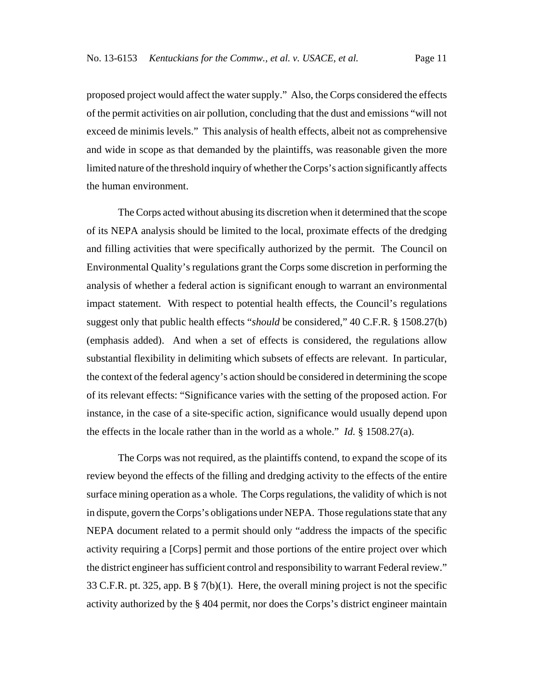proposed project would affect the water supply." Also, the Corps considered the effects of the permit activities on air pollution, concluding that the dust and emissions "will not exceed de minimis levels." This analysis of health effects, albeit not as comprehensive and wide in scope as that demanded by the plaintiffs, was reasonable given the more limited nature of the threshold inquiry of whether the Corps's action significantly affects the human environment.

The Corps acted without abusing its discretion when it determined that the scope of its NEPA analysis should be limited to the local, proximate effects of the dredging and filling activities that were specifically authorized by the permit. The Council on Environmental Quality's regulations grant the Corps some discretion in performing the analysis of whether a federal action is significant enough to warrant an environmental impact statement. With respect to potential health effects, the Council's regulations suggest only that public health effects "*should* be considered," 40 C.F.R. § 1508.27(b) (emphasis added). And when a set of effects is considered, the regulations allow substantial flexibility in delimiting which subsets of effects are relevant. In particular, the context of the federal agency's action should be considered in determining the scope of its relevant effects: "Significance varies with the setting of the proposed action. For instance, in the case of a site-specific action, significance would usually depend upon the effects in the locale rather than in the world as a whole." *Id.* § 1508.27(a).

The Corps was not required, as the plaintiffs contend, to expand the scope of its review beyond the effects of the filling and dredging activity to the effects of the entire surface mining operation as a whole. The Corps regulations, the validity of which is not in dispute, govern the Corps's obligations under NEPA. Those regulations state that any NEPA document related to a permit should only "address the impacts of the specific activity requiring a [Corps] permit and those portions of the entire project over which the district engineer has sufficient control and responsibility to warrant Federal review." 33 C.F.R. pt. 325, app. B § 7(b)(1). Here, the overall mining project is not the specific activity authorized by the § 404 permit, nor does the Corps's district engineer maintain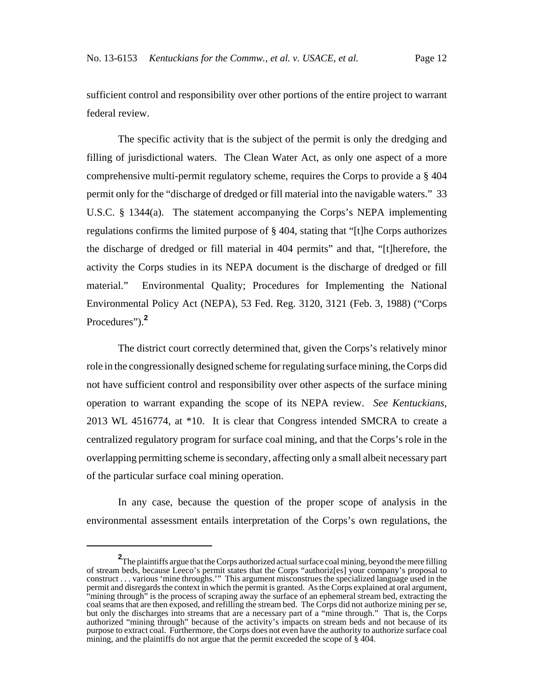sufficient control and responsibility over other portions of the entire project to warrant federal review.

The specific activity that is the subject of the permit is only the dredging and filling of jurisdictional waters. The Clean Water Act, as only one aspect of a more comprehensive multi-permit regulatory scheme, requires the Corps to provide a § 404 permit only for the "discharge of dredged or fill material into the navigable waters." 33 U.S.C. § 1344(a). The statement accompanying the Corps's NEPA implementing regulations confirms the limited purpose of § 404, stating that "[t]he Corps authorizes the discharge of dredged or fill material in 404 permits" and that, "[t]herefore, the activity the Corps studies in its NEPA document is the discharge of dredged or fill material." Environmental Quality; Procedures for Implementing the National Environmental Policy Act (NEPA), 53 Fed. Reg. 3120, 3121 (Feb. 3, 1988) ("Corps Procedures").**<sup>2</sup>**

The district court correctly determined that, given the Corps's relatively minor role in the congressionally designed scheme for regulating surface mining, the Corps did not have sufficient control and responsibility over other aspects of the surface mining operation to warrant expanding the scope of its NEPA review. *See Kentuckians*, 2013 WL 4516774, at \*10. It is clear that Congress intended SMCRA to create a centralized regulatory program for surface coal mining, and that the Corps's role in the overlapping permitting scheme is secondary, affecting only a small albeit necessary part of the particular surface coal mining operation.

In any case, because the question of the proper scope of analysis in the environmental assessment entails interpretation of the Corps's own regulations, the

**<sup>2</sup>** The plaintiffs argue that the Corps authorized actual surface coal mining, beyond the mere filling of stream beds, because Leeco's permit states that the Corps "authoriz[es] your company's proposal to construct . . . various 'mine throughs.'" This argument misconstrues the specialized language used in the permit and disregards the context in which the permit is granted. As the Corps explained at oral argument, "mining through" is the process of scraping away the surface of an ephemeral stream bed, extracting the coal seams that are then exposed, and refilling the stream bed. The Corps did not authorize mining per se, but only the discharges into streams that are a necessary part of a "mine through." That is, the Corps authorized "mining through" because of the activity's impacts on stream beds and not because of its purpose to extract coal. Furthermore, the Corps does not even have the authority to authorize surface coal mining, and the plaintiffs do not argue that the permit exceeded the scope of  $\zeta$  404.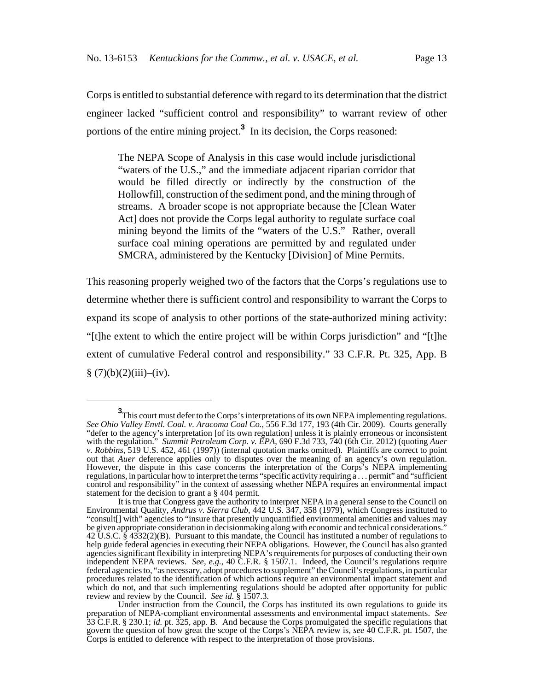Corps is entitled to substantial deference with regard to its determination that the district engineer lacked "sufficient control and responsibility" to warrant review of other portions of the entire mining project.**<sup>3</sup>** In its decision, the Corps reasoned:

The NEPA Scope of Analysis in this case would include jurisdictional "waters of the U.S.," and the immediate adjacent riparian corridor that would be filled directly or indirectly by the construction of the Hollowfill, construction of the sediment pond, and the mining through of streams. A broader scope is not appropriate because the [Clean Water Act] does not provide the Corps legal authority to regulate surface coal mining beyond the limits of the "waters of the U.S." Rather, overall surface coal mining operations are permitted by and regulated under SMCRA, administered by the Kentucky [Division] of Mine Permits.

This reasoning properly weighed two of the factors that the Corps's regulations use to determine whether there is sufficient control and responsibility to warrant the Corps to expand its scope of analysis to other portions of the state-authorized mining activity: "[t]he extent to which the entire project will be within Corps jurisdiction" and "[t]he extent of cumulative Federal control and responsibility." 33 C.F.R. Pt. 325, App. B  $§$  (7)(b)(2)(iii)–(iv).

**<sup>3</sup>**<br>This court must defer to the Corps's interpretations of its own NEPA implementing regulations. *See Ohio Valley Envtl. Coal. v. Aracoma Coal Co.*, 556 F.3d 177, 193 (4th Cir. 2009). Courts generally "defer to the agency's interpretation [of its own regulation] unless it is plainly erroneous or inconsistent with the regulation." *Summit Petroleum Corp. v. EPA*, 690 F.3d 733, 740 (6th Cir. 2012) (quoting *Auer v. Robbins*, 519 U.S. 452, 461 (1997)) (internal quotation marks omitted). Plaintiffs are correct to point out that *Auer* deference applies only to disputes over the meaning of an agency's own regulation. However, the dispute in this case concerns the interpretation of the Corps's NEPA implementing regulations, in particular how to interpret the terms "specific activity requiring a . . . permit" and "sufficient control and responsibility" in the context of assessing whether NEPA requires an environmental impact statement for the decision to grant a § 404 permit.

It is true that Congress gave the authority to interpret NEPA in a general sense to the Council on Environmental Quality, *Andrus v. Sierra Club*, 442 U.S. 347, 358 (1979), which Congress instituted to "consult[] with" agencies to "insure that presently unquantified environmental amenities and values may be given appropriate consideration in decisionmaking along with economic and technical considerations." 42 U.S.C. § 4332(2)(B). Pursuant to this mandate, the Council has instituted a number of regulations to help guide federal agencies in executing their NEPA obligations. However, the Council has also granted agencies significant flexibility in interpreting NEPA's requirements for purposes of conducting their own independent NEPA reviews. *See, e.g.*, 40 C.F.R. § 1507.1. Indeed, the Council's regulations require federal agencies to, "as necessary, adopt procedures to supplement" the Council's regulations, in particular procedures related to the identification of which actions require an environmental impact statement and which do not, and that such implementing regulations should be adopted after opportunity for public review and review by the Council. *See id.* § 1507.3.

Under instruction from the Council, the Corps has instituted its own regulations to guide its preparation of NEPA-compliant environmental assessments and environmental impact statements. *See* 33 C.F.R. § 230.1; *id.* pt. 325, app. B. And because the Corps promulgated the specific regulations that govern the question of how great the scope of the Corps's NEPA review is, *see* 40 C.F.R. pt. 1507, the Corps is entitled to deference with respect to the interpretation of those provisions.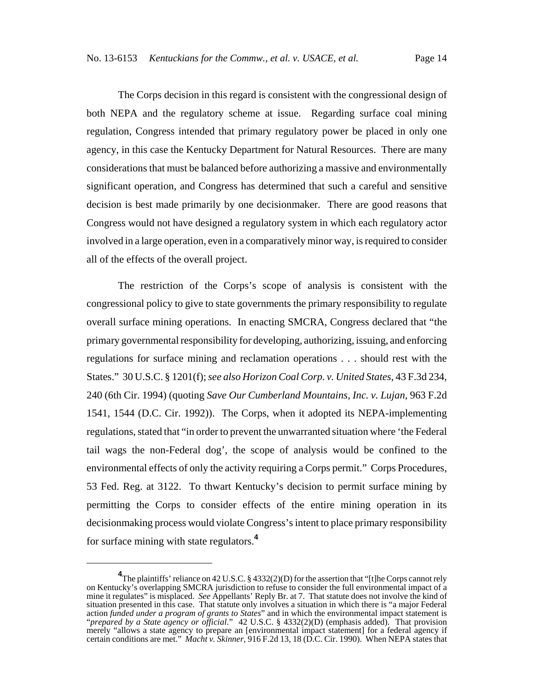The Corps decision in this regard is consistent with the congressional design of both NEPA and the regulatory scheme at issue. Regarding surface coal mining regulation, Congress intended that primary regulatory power be placed in only one agency, in this case the Kentucky Department for Natural Resources. There are many considerations that must be balanced before authorizing a massive and environmentally significant operation, and Congress has determined that such a careful and sensitive decision is best made primarily by one decisionmaker. There are good reasons that Congress would not have designed a regulatory system in which each regulatory actor involved in a large operation, even in a comparatively minor way, is required to consider all of the effects of the overall project.

The restriction of the Corps's scope of analysis is consistent with the congressional policy to give to state governments the primary responsibility to regulate overall surface mining operations. In enacting SMCRA, Congress declared that "the primary governmental responsibility for developing, authorizing, issuing, and enforcing regulations for surface mining and reclamation operations . . . should rest with the States." 30 U.S.C. § 1201(f); *see also Horizon Coal Corp. v. United States*, 43 F.3d 234, 240 (6th Cir. 1994) (quoting *Save Our Cumberland Mountains, Inc. v. Lujan*, 963 F.2d 1541, 1544 (D.C. Cir. 1992)). The Corps, when it adopted its NEPA-implementing regulations, stated that "in order to prevent the unwarranted situation where 'the Federal tail wags the non-Federal dog', the scope of analysis would be confined to the environmental effects of only the activity requiring a Corps permit." Corps Procedures, 53 Fed. Reg. at 3122. To thwart Kentucky's decision to permit surface mining by permitting the Corps to consider effects of the entire mining operation in its decisionmaking process would violate Congress's intent to place primary responsibility for surface mining with state regulators.**<sup>4</sup>**

**<sup>4</sup>** The plaintiffs' reliance on 42 U.S.C. § 4332(2)(D) for the assertion that "[t]he Corps cannot rely on Kentucky's overlapping SMCRA jurisdiction to refuse to consider the full environmental impact of a mine it regulates" is misplaced. *See* Appellants' Reply Br. at 7. That statute does not involve the kind of situation presented in this case. That statute only involves a situation in which there is "a major Federal action *funded under a program of grants to States*" and in which the environmental impact statement is "*prepared by a State agency or official*." 42 U.S.C. § 4332(2)(D) (emphasis added). That provision merely "allows a state agency to prepare an [environmental impact statement] for a federal agency if certain conditions are met." *Macht v. Skinner*, 916 F.2d 13, 18 (D.C. Cir. 1990). When NEPA states that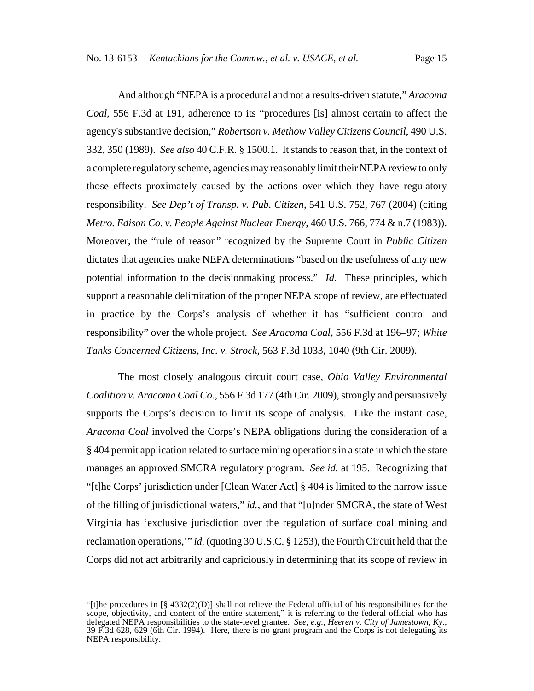And although "NEPA is a procedural and not a results-driven statute," *Aracoma Coal*, 556 F.3d at 191, adherence to its "procedures [is] almost certain to affect the agency's substantive decision," *Robertson v. Methow Valley Citizens Council*, 490 U.S. 332, 350 (1989). *See also* 40 C.F.R. § 1500.1. It stands to reason that, in the context of a complete regulatory scheme, agencies may reasonably limit their NEPA review to only those effects proximately caused by the actions over which they have regulatory responsibility. *See Dep't of Transp. v. Pub. Citizen*, 541 U.S. 752, 767 (2004) (citing *Metro. Edison Co. v. People Against Nuclear Energy*, 460 U.S. 766, 774 & n.7 (1983)). Moreover, the "rule of reason" recognized by the Supreme Court in *Public Citizen* dictates that agencies make NEPA determinations "based on the usefulness of any new potential information to the decisionmaking process." *Id.* These principles, which support a reasonable delimitation of the proper NEPA scope of review, are effectuated in practice by the Corps's analysis of whether it has "sufficient control and responsibility" over the whole project. *See Aracoma Coal*, 556 F.3d at 196–97; *White Tanks Concerned Citizens, Inc. v. Strock*, 563 F.3d 1033, 1040 (9th Cir. 2009).

The most closely analogous circuit court case, *Ohio Valley Environmental Coalition v. Aracoma Coal Co.*, 556 F.3d 177 (4th Cir. 2009), strongly and persuasively supports the Corps's decision to limit its scope of analysis. Like the instant case, *Aracoma Coal* involved the Corps's NEPA obligations during the consideration of a § 404 permit application related to surface mining operations in a state in which the state manages an approved SMCRA regulatory program. *See id.* at 195. Recognizing that "[t]he Corps' jurisdiction under [Clean Water Act] § 404 is limited to the narrow issue of the filling of jurisdictional waters," *id.*, and that "[u]nder SMCRA, the state of West Virginia has 'exclusive jurisdiction over the regulation of surface coal mining and reclamation operations,'" *id.* (quoting 30 U.S.C. § 1253), the Fourth Circuit held that the Corps did not act arbitrarily and capriciously in determining that its scope of review in

<sup>&</sup>quot;[t]he procedures in [§ 4332(2)(D)] shall not relieve the Federal official of his responsibilities for the scope, objectivity, and content of the entire statement," it is referring to the federal official who has delegated NEPA responsibilities to the state-level grantee. *See, e.g.*, *Heeren v. City of Jamestown, Ky.*, 39 F.3d 628, 629 (6th Cir. 1994). Here, there is no grant program and the Corps is not delegating its NEPA responsibility.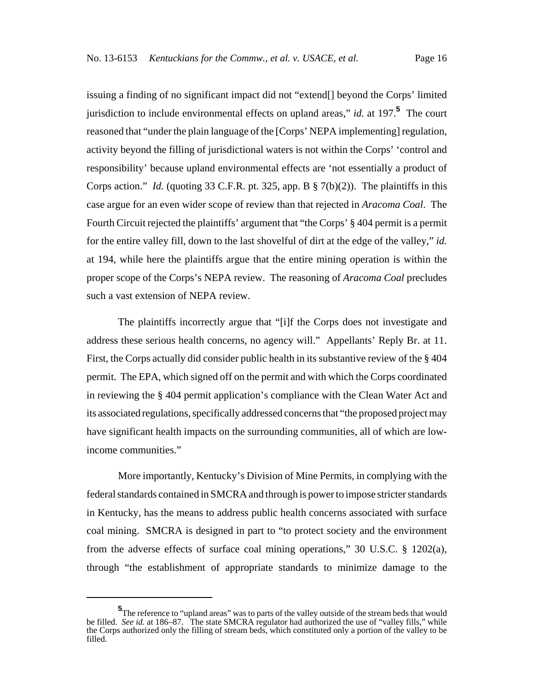issuing a finding of no significant impact did not "extend[] beyond the Corps' limited jurisdiction to include environmental effects on upland areas," *id.* at 197.**<sup>5</sup>** The court reasoned that "under the plain language of the [Corps' NEPA implementing] regulation, activity beyond the filling of jurisdictional waters is not within the Corps' 'control and responsibility' because upland environmental effects are 'not essentially a product of Corps action." *Id.* (quoting 33 C.F.R. pt. 325, app. B § 7(b)(2)). The plaintiffs in this case argue for an even wider scope of review than that rejected in *Aracoma Coal*. The Fourth Circuit rejected the plaintiffs' argument that "the Corps' § 404 permit is a permit for the entire valley fill, down to the last shovelful of dirt at the edge of the valley," *id.* at 194, while here the plaintiffs argue that the entire mining operation is within the proper scope of the Corps's NEPA review. The reasoning of *Aracoma Coal* precludes such a vast extension of NEPA review.

The plaintiffs incorrectly argue that "[i]f the Corps does not investigate and address these serious health concerns, no agency will." Appellants' Reply Br. at 11. First, the Corps actually did consider public health in its substantive review of the § 404 permit. The EPA, which signed off on the permit and with which the Corps coordinated in reviewing the § 404 permit application's compliance with the Clean Water Act and its associated regulations, specifically addressed concerns that "the proposed project may have significant health impacts on the surrounding communities, all of which are lowincome communities."

More importantly, Kentucky's Division of Mine Permits, in complying with the federal standards contained in SMCRA and through is power to impose stricter standards in Kentucky, has the means to address public health concerns associated with surface coal mining. SMCRA is designed in part to "to protect society and the environment from the adverse effects of surface coal mining operations," 30 U.S.C. § 1202(a), through "the establishment of appropriate standards to minimize damage to the

**<sup>5</sup>** The reference to "upland areas" was to parts of the valley outside of the stream beds that would be filled. *See id.* at 186–87. The state SMCRA regulator had authorized the use of "valley fills," while the Corps authorized only the filling of stream beds, which constituted only a portion of the valley to be filled.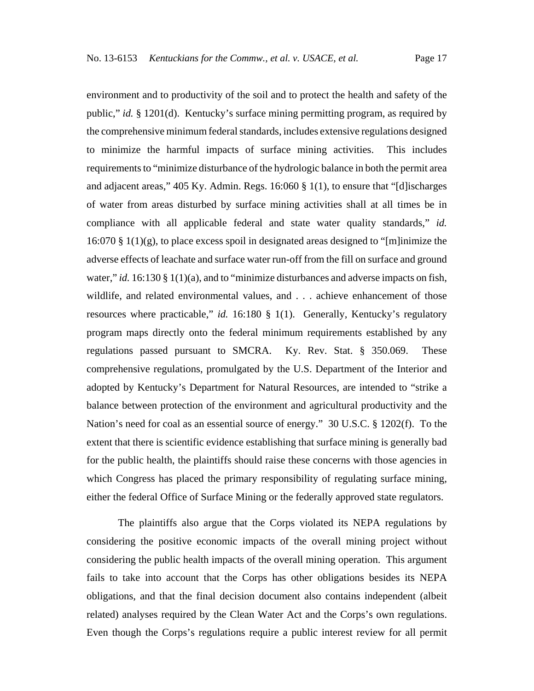environment and to productivity of the soil and to protect the health and safety of the public," *id.* § 1201(d). Kentucky's surface mining permitting program, as required by the comprehensive minimum federal standards, includes extensive regulations designed to minimize the harmful impacts of surface mining activities. This includes requirements to "minimize disturbance of the hydrologic balance in both the permit area and adjacent areas," 405 Ky. Admin. Regs. 16:060 § 1(1), to ensure that "[d]ischarges of water from areas disturbed by surface mining activities shall at all times be in compliance with all applicable federal and state water quality standards," *id.*  $16:070 \text{ § } 1(1)(g)$ , to place excess spoil in designated areas designed to "[m]inimize the adverse effects of leachate and surface water run-off from the fill on surface and ground water," *id.* 16:130 § 1(1)(a), and to "minimize disturbances and adverse impacts on fish, wildlife, and related environmental values, and . . . achieve enhancement of those resources where practicable," *id.* 16:180 § 1(1). Generally, Kentucky's regulatory program maps directly onto the federal minimum requirements established by any regulations passed pursuant to SMCRA. Ky. Rev. Stat. § 350.069. These comprehensive regulations, promulgated by the U.S. Department of the Interior and adopted by Kentucky's Department for Natural Resources, are intended to "strike a balance between protection of the environment and agricultural productivity and the Nation's need for coal as an essential source of energy." 30 U.S.C. § 1202(f). To the extent that there is scientific evidence establishing that surface mining is generally bad for the public health, the plaintiffs should raise these concerns with those agencies in which Congress has placed the primary responsibility of regulating surface mining, either the federal Office of Surface Mining or the federally approved state regulators.

The plaintiffs also argue that the Corps violated its NEPA regulations by considering the positive economic impacts of the overall mining project without considering the public health impacts of the overall mining operation. This argument fails to take into account that the Corps has other obligations besides its NEPA obligations, and that the final decision document also contains independent (albeit related) analyses required by the Clean Water Act and the Corps's own regulations. Even though the Corps's regulations require a public interest review for all permit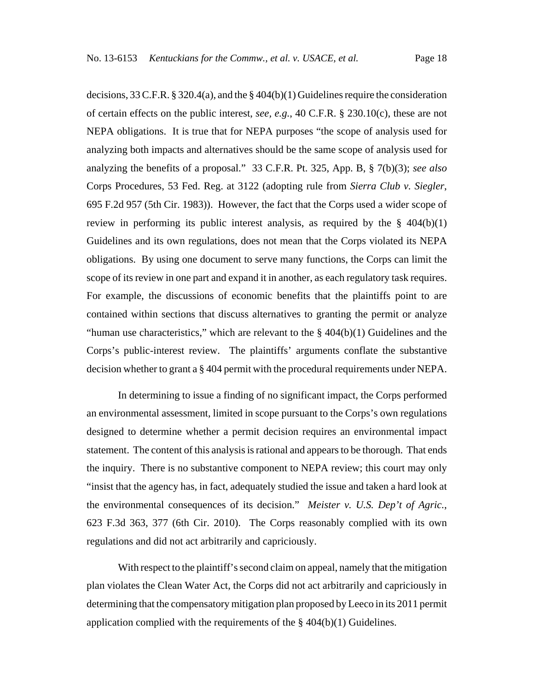decisions, 33 C.F.R. § 320.4(a), and the § 404(b)(1) Guidelines require the consideration of certain effects on the public interest, *see, e.g.*, 40 C.F.R. § 230.10(c), these are not NEPA obligations. It is true that for NEPA purposes "the scope of analysis used for analyzing both impacts and alternatives should be the same scope of analysis used for analyzing the benefits of a proposal." 33 C.F.R. Pt. 325, App. B, § 7(b)(3); *see also* Corps Procedures, 53 Fed. Reg. at 3122 (adopting rule from *Sierra Club v. Siegler*, 695 F.2d 957 (5th Cir. 1983)). However, the fact that the Corps used a wider scope of review in performing its public interest analysis, as required by the § 404(b)(1) Guidelines and its own regulations, does not mean that the Corps violated its NEPA obligations. By using one document to serve many functions, the Corps can limit the scope of its review in one part and expand it in another, as each regulatory task requires. For example, the discussions of economic benefits that the plaintiffs point to are contained within sections that discuss alternatives to granting the permit or analyze

"human use characteristics," which are relevant to the  $\S$  404(b)(1) Guidelines and the Corps's public-interest review. The plaintiffs' arguments conflate the substantive decision whether to grant a § 404 permit with the procedural requirements under NEPA.

In determining to issue a finding of no significant impact, the Corps performed an environmental assessment, limited in scope pursuant to the Corps's own regulations designed to determine whether a permit decision requires an environmental impact statement. The content of this analysis is rational and appears to be thorough. That ends the inquiry. There is no substantive component to NEPA review; this court may only "insist that the agency has, in fact, adequately studied the issue and taken a hard look at the environmental consequences of its decision." *Meister v. U.S. Dep't of Agric.*, 623 F.3d 363, 377 (6th Cir. 2010). The Corps reasonably complied with its own regulations and did not act arbitrarily and capriciously.

With respect to the plaintiff's second claim on appeal, namely that the mitigation plan violates the Clean Water Act, the Corps did not act arbitrarily and capriciously in determining that the compensatory mitigation plan proposed by Leeco in its 2011 permit application complied with the requirements of the  $\S$  404(b)(1) Guidelines.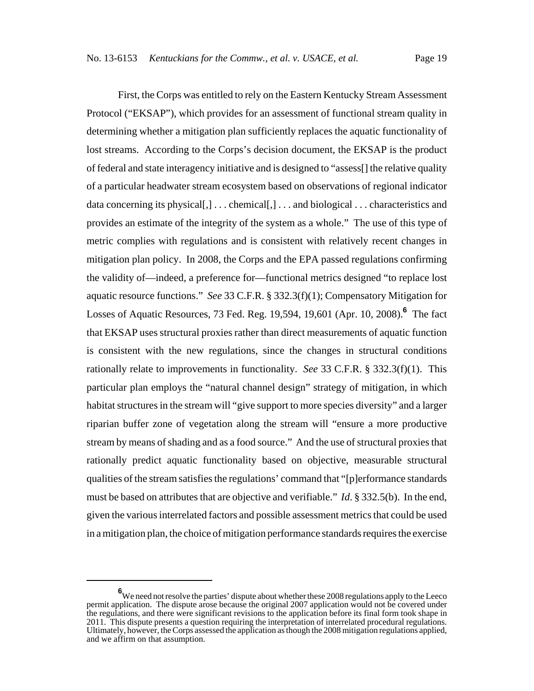First, the Corps was entitled to rely on the Eastern Kentucky Stream Assessment Protocol ("EKSAP"), which provides for an assessment of functional stream quality in determining whether a mitigation plan sufficiently replaces the aquatic functionality of lost streams. According to the Corps's decision document, the EKSAP is the product of federal and state interagency initiative and is designed to "assess[] the relative quality of a particular headwater stream ecosystem based on observations of regional indicator data concerning its physical[,] . . . chemical[,] . . . and biological . . . characteristics and provides an estimate of the integrity of the system as a whole." The use of this type of metric complies with regulations and is consistent with relatively recent changes in mitigation plan policy. In 2008, the Corps and the EPA passed regulations confirming the validity of—indeed, a preference for—functional metrics designed "to replace lost aquatic resource functions." *See* 33 C.F.R. § 332.3(f)(1); Compensatory Mitigation for Losses of Aquatic Resources, 73 Fed. Reg. 19,594, 19,601 (Apr. 10, 2008).**<sup>6</sup>** The fact that EKSAP uses structural proxies rather than direct measurements of aquatic function is consistent with the new regulations, since the changes in structural conditions rationally relate to improvements in functionality. *See* 33 C.F.R. § 332.3(f)(1). This particular plan employs the "natural channel design" strategy of mitigation, in which habitat structures in the stream will "give support to more species diversity" and a larger riparian buffer zone of vegetation along the stream will "ensure a more productive stream by means of shading and as a food source." And the use of structural proxies that rationally predict aquatic functionality based on objective, measurable structural qualities of the stream satisfies the regulations' command that "[p]erformance standards must be based on attributes that are objective and verifiable." *Id*. § 332.5(b). In the end, given the various interrelated factors and possible assessment metrics that could be used in a mitigation plan, the choice of mitigation performance standards requires the exercise

**<sup>6</sup>** We need not resolve the parties' dispute about whether these 2008 regulations apply to the Leeco permit application. The dispute arose because the original 2007 application would not be covered under the regulations, and there were significant revisions to the application before its final form took shape in 2011. This dispute presents a question requiring the interpretation of interrelated procedural regulations. Ultimately, however, the Corps assessed the application as though the 2008 mitigation regulations applied, and we affirm on that assumption.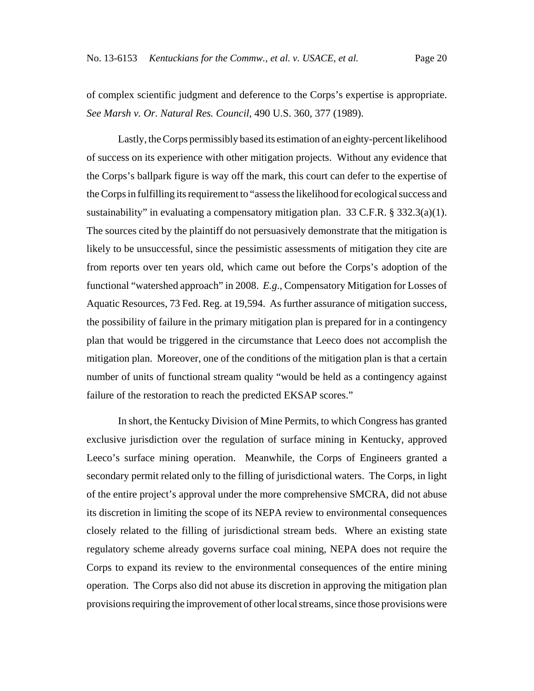of complex scientific judgment and deference to the Corps's expertise is appropriate. *See Marsh v. Or. Natural Res. Council*, 490 U.S. 360, 377 (1989).

Lastly, the Corps permissibly based its estimation of an eighty-percent likelihood of success on its experience with other mitigation projects. Without any evidence that the Corps's ballpark figure is way off the mark, this court can defer to the expertise of the Corps in fulfilling its requirement to "assess the likelihood for ecological success and sustainability" in evaluating a compensatory mitigation plan. 33 C.F.R. § 332.3(a)(1). The sources cited by the plaintiff do not persuasively demonstrate that the mitigation is likely to be unsuccessful, since the pessimistic assessments of mitigation they cite are from reports over ten years old, which came out before the Corps's adoption of the functional "watershed approach" in 2008. *E.g*., Compensatory Mitigation for Losses of Aquatic Resources, 73 Fed. Reg. at 19,594. As further assurance of mitigation success, the possibility of failure in the primary mitigation plan is prepared for in a contingency plan that would be triggered in the circumstance that Leeco does not accomplish the mitigation plan. Moreover, one of the conditions of the mitigation plan is that a certain number of units of functional stream quality "would be held as a contingency against failure of the restoration to reach the predicted EKSAP scores."

In short, the Kentucky Division of Mine Permits, to which Congress has granted exclusive jurisdiction over the regulation of surface mining in Kentucky, approved Leeco's surface mining operation. Meanwhile, the Corps of Engineers granted a secondary permit related only to the filling of jurisdictional waters. The Corps, in light of the entire project's approval under the more comprehensive SMCRA, did not abuse its discretion in limiting the scope of its NEPA review to environmental consequences closely related to the filling of jurisdictional stream beds. Where an existing state regulatory scheme already governs surface coal mining, NEPA does not require the Corps to expand its review to the environmental consequences of the entire mining operation. The Corps also did not abuse its discretion in approving the mitigation plan provisions requiring the improvement of other local streams, since those provisions were